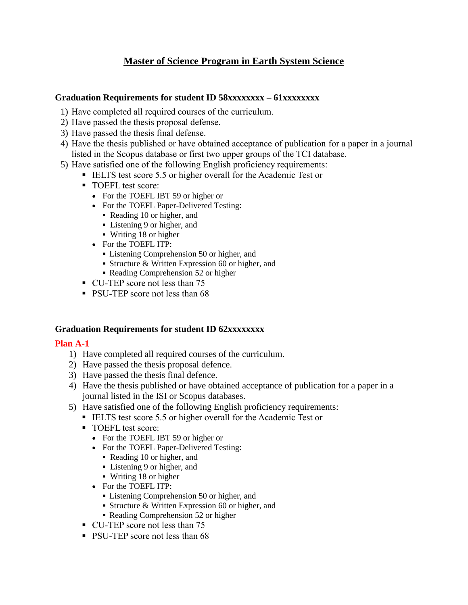# **Master of Science Program in Earth System Science**

## **Graduation Requirements for student ID 58xxxxxxxx – 61xxxxxxxx**

- 1) Have completed all required courses of the curriculum.
- 2) Have passed the thesis proposal defense.
- 3) Have passed the thesis final defense.
- 4) Have the thesis published or have obtained acceptance of publication for a paper in a journal listed in the Scopus database or first two upper groups of the TCI database.
- 5) Have satisfied one of the following English proficiency requirements:
	- IELTS test score 5.5 or higher overall for the Academic Test or
	- **TOEFL** test score:
		- For the TOEFL IBT 59 or higher or
		- For the TOEFL Paper-Delivered Testing:
			- Reading 10 or higher, and
			- Listening 9 or higher, and
			- Writing 18 or higher
		- For the TOEFL ITP:
			- Listening Comprehension 50 or higher, and
			- Structure & Written Expression 60 or higher, and
			- Reading Comprehension 52 or higher
	- CU-TEP score not less than 75
	- PSU-TEP score not less than 68

### **Graduation Requirements for student ID 62xxxxxxxx**

### **Plan A-1**

- 1) Have completed all required courses of the curriculum.
- 2) Have passed the thesis proposal defence.
- 3) Have passed the thesis final defence.
- 4) Have the thesis published or have obtained acceptance of publication for a paper in a journal listed in the ISI or Scopus databases.
- 5) Have satisfied one of the following English proficiency requirements:
	- IELTS test score 5.5 or higher overall for the Academic Test or
	- **TOEFL** test score:
		- For the TOEFL IBT 59 or higher or
		- For the TOEFL Paper-Delivered Testing:
			- Reading 10 or higher, and
			- Listening 9 or higher, and
			- Writing 18 or higher
		- For the TOEFL ITP:
			- Listening Comprehension 50 or higher, and
			- Structure & Written Expression 60 or higher, and
			- Reading Comprehension 52 or higher
	- CU-TEP score not less than 75
	- **PSU-TEP** score not less than 68